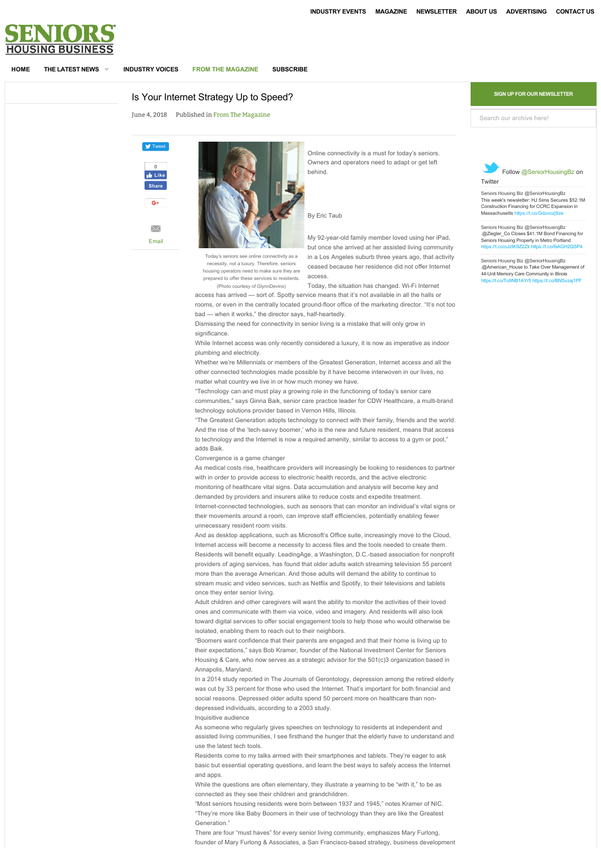<span id="page-0-0"></span>

**[HOME](http://www.seniorshousingbusiness.com/) [THE LATEST NEWS](http://www.seniorshousingbusiness.com/the-latest-news) [INDUSTRY VOICES](http://www.seniorshousingbusiness.com/industry-voices) [FROM THE MAGAZINE](http://www.seniorshousingbusiness.com/from-the-magazine) [SUBSCRIBE](http://www.seniorshousingbusiness.com/subscribe)**

## [Is Your Internet Strategy Up to Speed?](http://www.seniorshousingbusiness.com/component/adagency/adagencyAds/click/148/5/89)

June 4, 2018 Published in [From The Magazine](http://www.seniorshousingbusiness.com/from-the-magazine)





Online connectivity is a must for today's seniors. Owners and operators need to adapt or get left behind.

## By Eric Taub

My 92-year-old family member loved using her iPad, but once she arrived at her assisted living community [in a Los Angeles suburb three years ago, that activity](http://www.seniorshousingbusiness.com/component/adagency/adagencyAds/click/140/5/135) ceased because her residence did not offer Internet access. Today's seniors see online connectivity as a cessity, not a luxury. Therefore, seniors housing operators need to make sure they are prepared to offer these services to residents.

Today, the situation has changed. Wi-Fi Internet (Photo courtesy of GlynnDevins)

access has arrived — sort of. Spotty service means that it's not available in all the halls or rooms, or even in the centrally located ground-floor office of the marketing director. "It's not too bad — when it works," the director says, half-heartedly.

Dismissing the need for connectivity in senior living is a mistake that will only grow in significance

While Internet access was only recently considered a luxury, it is now as imperative as indoor plumbing and electricity.

Whether we're Millennials or members of the Greatest Generation, Internet access and all the other connected technologies made possible by it have become interwoven in our lives, no matter what country we live in or how much money we have.

"Technology can and must play a growing role in the functioning of today's senior care communities," says Ginna Baik, senior care practice leader for CDW Healthcare, a multi-brand technology solutions provider based in Vernon Hills, Illinois.

"The Greatest Generation adopts technology to connect with their family, friends and the world. And the rise of the 'tech-savvy boomer,' who is the new and future resident, means that access to technology and the Internet is now a required amenity, similar to access to a gym or pool," adds Baik.

Convergence is a game changer

As medical costs rise, healthcare providers will increasingly be looking to residences to partner with in order to provide access to electronic health records, and the active electronic monitoring of healthcare vital signs. Data accumulation and analysis will become key and demanded by providers and insurers alike to reduce costs and expedite treatment. Internet-connected technologies, such as sensors that can monitor an individual's vital signs or their movements around a room, can improve staff efficiencies, potentially enabling fewer unnecessary resident room visits.

And as desktop applications, such as Microsoft's Office suite, increasingly move to the Cloud, Internet access will become a necessity to access files and the tools needed to create them. Residents will benefit equally. LeadingAge, a Washington, D.C.-based association for nonprofit providers of aging services, has found that older adults watch streaming television 55 percent more than the average American. And those adults will demand the ability to continue to stream music and video services, such as Netflix and Spotify, to their televisions and tablets once they enter senior living.

Adult children and other caregivers will want the ability to monitor the activities of their loved ones and communicate with them via voice, video and imagery. And residents will also look toward digital services to offer social engagement tools to help those who would otherwise be isolated, enabling them to reach out to their neighbors.

"Boomers want confidence that their parents are engaged and that their home is living up to their expectations," says Bob Kramer, founder of the National Investment Center for Seniors Housing & Care, who now serves as a strategic advisor for the 501(c)3 organization based in Annapolis, Maryland.

In a 2014 study reported in The Journals of Gerontology, depression among the retired elderly was cut by 33 percent for those who used the Internet. That's important for both financial and social reasons. Depressed older adults spend 50 percent more on healthcare than nondepressed individuals, according to a 2003 study.

Inquisitive audience

As someone who regularly gives speeches on technology to residents at independent and assisted living communities, I see firsthand the hunger that the elderly have to understand and use the latest tech tools.

Residents come to my talks armed with their smartphones and tablets. They're eager to ask basic but essential operating questions, and learn the best ways to safely access the Internet and anns

While the questions are often elementary, they illustrate a yearning to be "with it," to be as connected as they see their children and grandchildren.

"Most seniors housing residents were born between 1937 and 1945," notes Kramer of NIC. "They're more like Baby Boomers in their use of technology than they are like the Greatest Generation."

There are four "must haves" for every senior living community, emphasizes Mary Furlong, founder of Mary Furlong & Associates, a San Francisco-based strategy, business development **SIGN UP FOR OUR NEWSLETTER**

Search our archive here!



[Seniors Housing Biz](https://twitter.com/SeniorHousingBz) [@SeniorHousingBz](https://twitter.com/SeniorHousingBz) This week's newsletter: HJ Sims Secures \$52.1M<br>Construction Financing for CCRC Expansion in<br>Massachusetts<https://t.co/Gdzvozj9ze>

[Seniors Housing Biz](https://twitter.com/SeniorHousingBz) [@SeniorHousingBz](https://twitter.com/SeniorHousingBz) .@Ziegler\_Co Closes \$41.1M Bond Financing for Seniors Housing Property in Metro Portland <https://t.co/oJztK9Z2Zk> <https://t.co/6iAGH2QSP4>

eniors Housing Biz [@SeniorHousingBz](https://twitter.com/SeniorHousingBz) .@American\_House to Take Over Management of 44-Unit Memory Care Community in Illinois <https://t.co/To9NB1AYr5> <https://t.co/BNSvzaj1PF>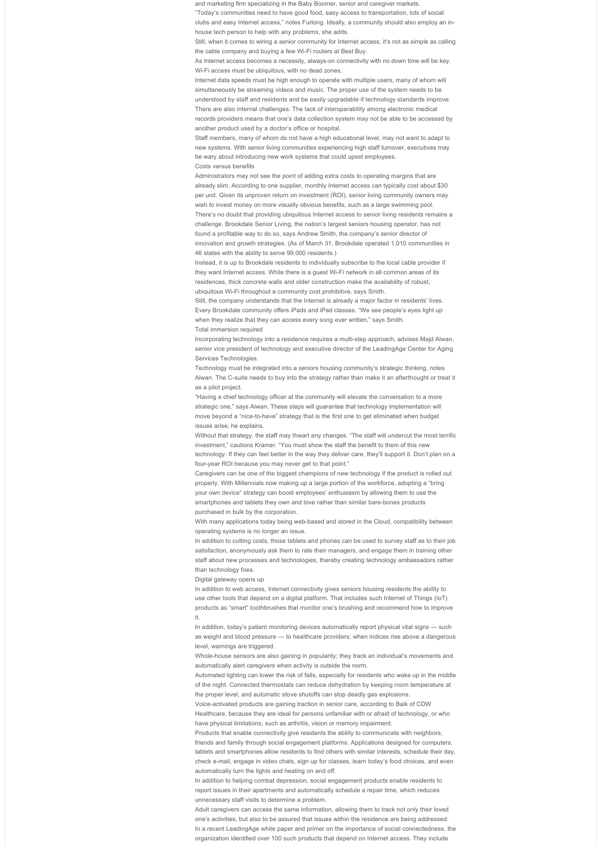and marketing firm specializing in the Baby Boomer, senior and caregiver markets.

"Today's communities need to have good food, easy access to transportation, lots of social clubs and easy Internet access," notes Furlong. Ideally, a community should also employ an inhouse tech person to help with any problems, she adds.

Still, when it comes to wiring a senior community for Internet access, it's not as simple as calling the cable company and buying a few Wi-Fi routers at Best Buy.

As Internet access becomes a necessity, always-on connectivity with no down time will be key. Wi-Fi access must be ubiquitous, with no dead zones.

Internet data speeds must be high enough to operate with multiple users, many of whom will simultaneously be streaming videos and music. The proper use of the system needs to be understood by staff and residents and be easily upgradable if technology standards improve. There are also internal challenges. The lack of interoperability among electronic medical records providers means that one's data collection system may not be able to be accessed by another product used by a doctor's office or hospital.

Staff members, many of whom do not have a high educational level, may not want to adapt to new systems. With senior living communities experiencing high staff turnover, executives may be wary about introducing new work systems that could upset employees. Costs versus benefits

Administrators may not see the point of adding extra costs to operating margins that are already slim. According to one supplier, monthly Internet access can typically cost about \$30 per unit. Given its unproven return on investment (ROI), senior living community owners may wish to invest money on more visually obvious benefits, such as a large swimming pool. There's no doubt that providing ubiquitous Internet access to senior living residents remains a challenge. Brookdale Senior Living, the nation's largest seniors housing operator, has not found a profitable way to do so, says Andrew Smith, the company's senior director of innovation and growth strategies. (As of March 31, Brookdale operated 1,010 communities in 46 states with the ability to serve 99,000 residents.)

Instead, it is up to Brookdale residents to individually subscribe to the local cable provider if they want Internet access. While there is a guest Wi-Fi network in all common areas of its residences, thick concrete walls and older construction make the availability of robust, ubiquitous Wi-Fi throughout a community cost prohibitive, says Smith.

Still, the company understands that the Internet is already a major factor in residents' lives. Every Brookdale community offers iPads and iPad classes. "We see people's eyes light up when they realize that they can access every song ever written," says Smith. Total immersion required

Incorporating technology into a residence requires a multi-step approach, advises Majd Alwan, senior vice president of technology and executive director of the LeadingAge Center for Aging Services Technologies.

Technology must be integrated into a seniors housing community's strategic thinking, notes Alwan. The C-suite needs to buy into the strategy rather than make it an afterthought or treat it as a pilot project.

"Having a chief technology officer at the community will elevate the conversation to a more strategic one." says Alwan. These steps will guarantee that technology implementation will move beyond a "nice-to-have" strategy that is the first one to get eliminated when budget issues arise, he explains.

Without that strategy, the staff may thwart any changes. "The staff will undercut the most terrific investment," cautions Kramer. "You must show the staff the benefit to them of this new technology. If they can feel better in the way they deliver care, they'll support it. Don't plan on a four-year ROI because you may never get to that point."

Caregivers can be one of the biggest champions of new technology if the product is rolled out properly. With Millennials now making up a large portion of the workforce, adopting a "bring your own device" strategy can boost employees' enthusiasm by allowing them to use the smartphones and tablets they own and love rather than similar bare-bones products purchased in bulk by the corporation.

With many applications today being web-based and stored in the Cloud, compatibility between operating systems is no longer an issue.

In addition to cutting costs, those tablets and phones can be used to survey staff as to their job satisfaction, anonymously ask them to rate their managers, and engage them in training other staff about new processes and technologies, thereby creating technology ambassadors rather than technology foes.

Digital gateway opens up

In addition to web access, Internet connectivity gives seniors housing residents the ability to use other tools that depend on a digital platform. That includes such Internet of Things (IoT) products as "smart" toothbrushes that monitor one's brushing and recommend how to improve it.

In addition, today's patient monitoring devices automatically report physical vital signs — such as weight and blood pressure — to healthcare providers; when indices rise above a dangerous level, warnings are triggered.

Whole-house sensors are also gaining in popularity; they track an individual's movements and automatically alert caregivers when activity is outside the norm.

Automated lighting can lower the risk of falls, especially for residents who wake up in the middle of the night. Connected thermostats can reduce dehydration by keeping room temperature at the proper level, and automatic stove shutoffs can stop deadly gas explosions.

Voice-activated products are gaining traction in senior care, according to Baik of CDW

Healthcare, because they are ideal for persons unfamiliar with or afraid of technology, or who have physical limitations, such as arthritis, vision or memory impairment.

Products that enable connectivity give residents the ability to communicate with neighbors, friends and family through social engagement platforms. Applications designed for computers, tablets and smartphones allow residents to find others with similar interests, schedule their day check e-mail, engage in video chats, sign up for classes, learn today's food choices, and even automatically turn the lights and heating on and off.

In addition to helping combat depression, social engagement products enable residents to report issues in their apartments and automatically schedule a repair time, which reduces unnecessary staff visits to determine a problem.

Adult caregivers can access the same information, allowing them to track not only their loved one's activities, but also to be assured that issues within the residence are being addressed. In a recent LeadingAge white paper and primer on the importance of social connectedness, the organization identified over 100 such products that depend on Internet access. They include